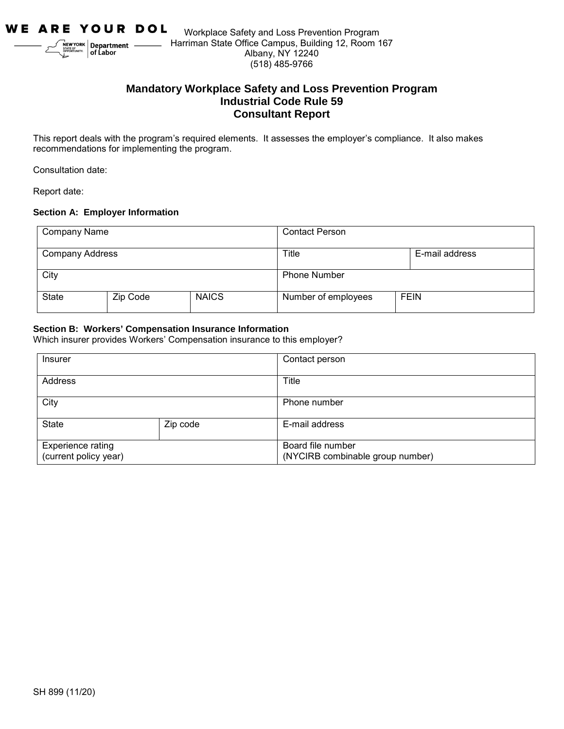

# **Mandatory Workplace Safety and Loss Prevention Program Industrial Code Rule 59 Consultant Report**

This report deals with the program's required elements. It assesses the employer's compliance. It also makes recommendations for implementing the program.

Consultation date:

Report date:

#### **Section A: Employer Information**

| Company Name           |          |              | <b>Contact Person</b>   |             |  |
|------------------------|----------|--------------|-------------------------|-------------|--|
| <b>Company Address</b> |          |              | Title<br>E-mail address |             |  |
| City                   |          |              | <b>Phone Number</b>     |             |  |
| <b>State</b>           | Zip Code | <b>NAICS</b> | Number of employees     | <b>FEIN</b> |  |

#### **Section B: Workers' Compensation Insurance Information**

Which insurer provides Workers' Compensation insurance to this employer?

| Insurer                                    |          | Contact person                                        |
|--------------------------------------------|----------|-------------------------------------------------------|
| Address                                    |          | Title                                                 |
| City                                       |          | Phone number                                          |
| <b>State</b>                               | Zip code | E-mail address                                        |
| Experience rating<br>(current policy year) |          | Board file number<br>(NYCIRB combinable group number) |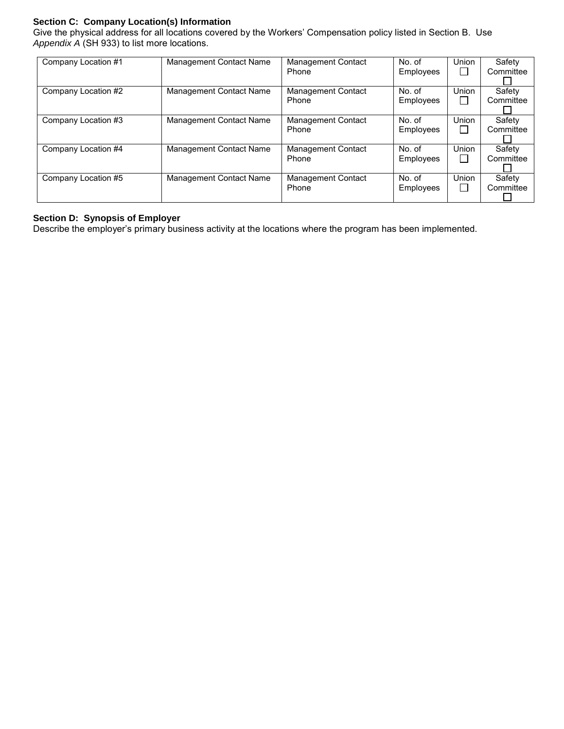### **Section C: Company Location(s) Information**

Give the physical address for all locations covered by the Workers' Compensation policy listed in Section B. Use *Appendix A* (SH 933) to list more locations.

| Company Location #1 | Management Contact Name | <b>Management Contact</b><br>Phone | No. of<br>Employees | Union<br>ΙI     | Safety<br>Committee |
|---------------------|-------------------------|------------------------------------|---------------------|-----------------|---------------------|
| Company Location #2 | Management Contact Name | Management Contact<br>Phone        | No. of<br>Employees | Union           | Safety<br>Committee |
| Company Location #3 | Management Contact Name | <b>Management Contact</b><br>Phone | No. of<br>Employees | Union<br>$\Box$ | Safety<br>Committee |
| Company Location #4 | Management Contact Name | <b>Management Contact</b><br>Phone | No. of<br>Employees | Union<br>□      | Safety<br>Committee |
| Company Location #5 | Management Contact Name | <b>Management Contact</b><br>Phone | No. of<br>Employees | Union<br>$\Box$ | Safety<br>Committee |

# **Section D: Synopsis of Employer**

Describe the employer's primary business activity at the locations where the program has been implemented.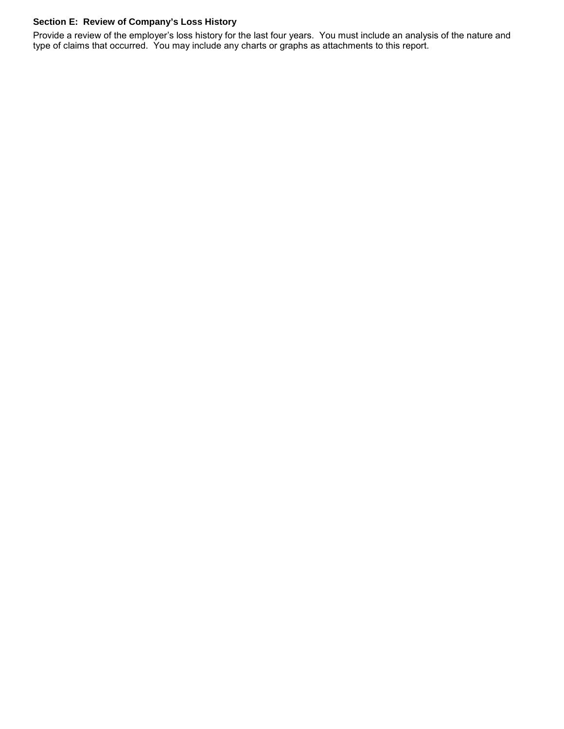## **Section E: Review of Company's Loss History**

Provide a review of the employer's loss history for the last four years. You must include an analysis of the nature and type of claims that occurred. You may include any charts or graphs as attachments to this report.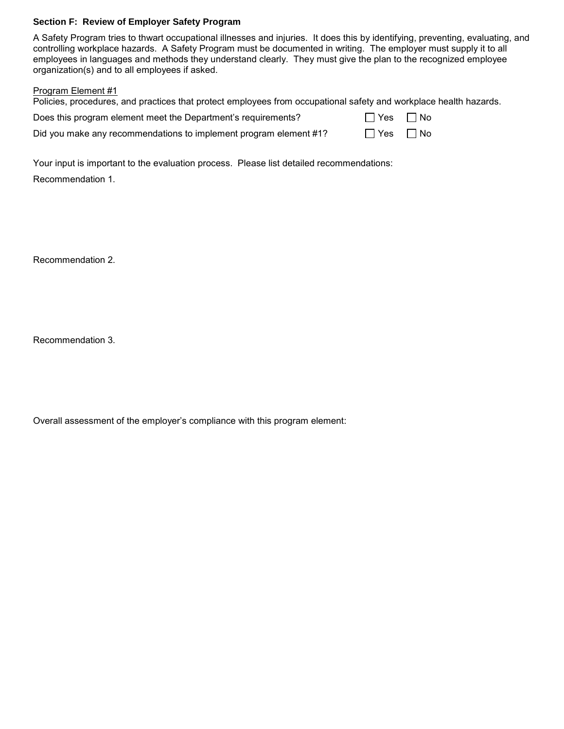#### **Section F: Review of Employer Safety Program**

A Safety Program tries to thwart occupational illnesses and injuries. It does this by identifying, preventing, evaluating, and controlling workplace hazards. A Safety Program must be documented in writing. The employer must supply it to all employees in languages and methods they understand clearly. They must give the plan to the recognized employee organization(s) and to all employees if asked.

### Program Element #1

| Policies, procedures, and practices that protect employees from occupational safety and workplace health hazards. |           |  |
|-------------------------------------------------------------------------------------------------------------------|-----------|--|
| Does this program element meet the Department's requirements?                                                     | Yes   No  |  |
| Did you make any recommendations to implement program element #1?                                                 | ∣∣Yes ∏No |  |

Your input is important to the evaluation process. Please list detailed recommendations:

Recommendation 1.

Recommendation 2.

Recommendation 3.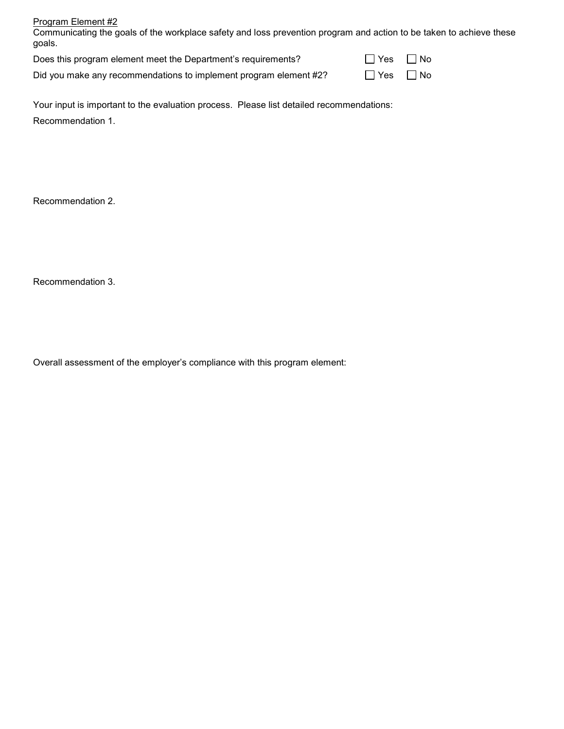| Program Element #2                                         |  |
|------------------------------------------------------------|--|
| As a construction of the constant of the constant and con- |  |

Communicating the goals of the workplace safety and loss prevention program and action to be taken to achieve these goals.

| Does this program element meet the Department's requirements? | $\Box$ Yes $\Box$ No |
|---------------------------------------------------------------|----------------------|
|---------------------------------------------------------------|----------------------|

Did you make any recommendations to implement program element  $#2$ ?  $\Box$  Yes  $\Box$  No

| Yes | l No |
|-----|------|
|     |      |

Your input is important to the evaluation process. Please list detailed recommendations: Recommendation 1.

Recommendation 2.

Recommendation 3.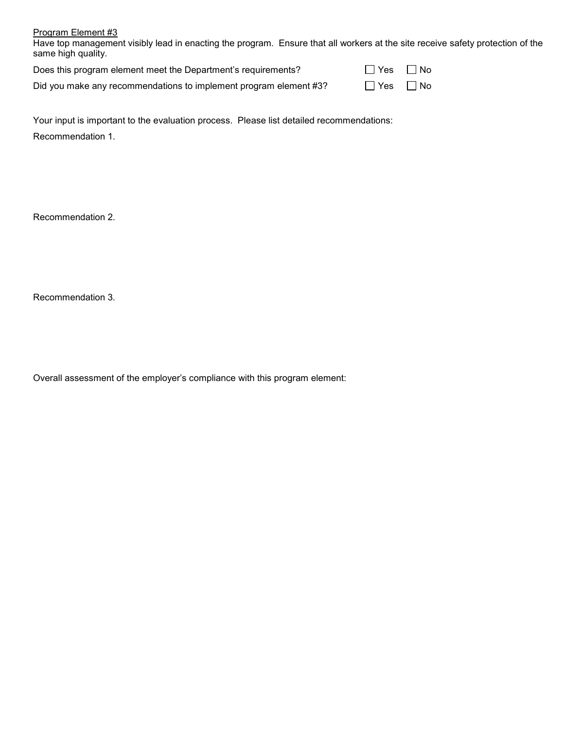Have top management visibly lead in enacting the program. Ensure that all workers at the site receive safety protection of the same high quality.

| Does this program element meet the Department's requirements?     | $\Box$ Yes $\Box$ No |  |
|-------------------------------------------------------------------|----------------------|--|
| Did you make any recommendations to implement program element #3? | $\Box$ Yes $\Box$ No |  |

Your input is important to the evaluation process. Please list detailed recommendations: Recommendation 1.

Recommendation 2.

Recommendation 3.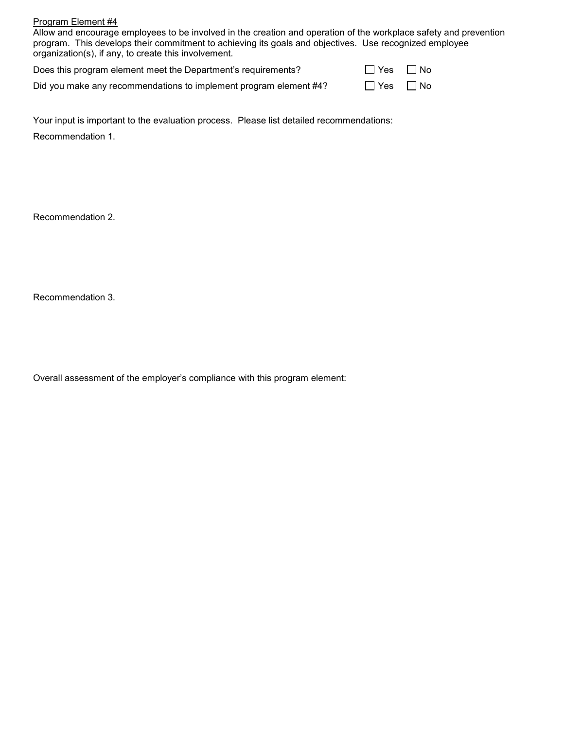Allow and encourage employees to be involved in the creation and operation of the workplace safety and prevention program. This develops their commitment to achieving its goals and objectives. Use recognized employee organization(s), if any, to create this involvement.

| Does this program element meet the Department's requirements?     | $\Box$ Yes $\Box$ No |  |
|-------------------------------------------------------------------|----------------------|--|
| Did you make any recommendations to implement program element #4? | $\Box$ Yes $\Box$ No |  |

Your input is important to the evaluation process. Please list detailed recommendations: Recommendation 1.

Recommendation 2.

Recommendation 3.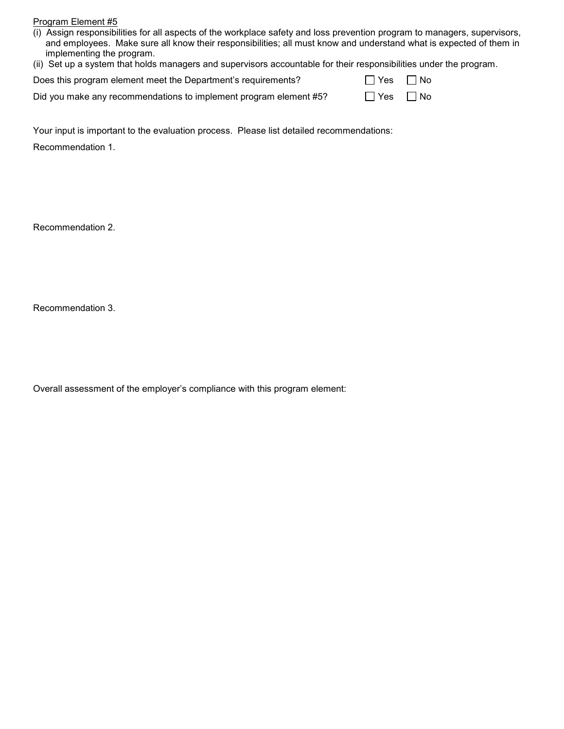| (i) Assign responsibilities for all aspects of the workplace safety and loss prevention program to managers, supervisors, |
|---------------------------------------------------------------------------------------------------------------------------|
| and emplovees. Make sure all know their responsibilities: all must know and understand what is expected of them in        |
| implementing the program.                                                                                                 |

|  |  |  |  | (ii) Set up a system that holds managers and supervisors accountable for their responsibilities under the program. |  |  |
|--|--|--|--|--------------------------------------------------------------------------------------------------------------------|--|--|
|--|--|--|--|--------------------------------------------------------------------------------------------------------------------|--|--|

| Does this program element meet the Department's requirements?     | $\Box$ Yes $\Box$ No |  |
|-------------------------------------------------------------------|----------------------|--|
| Did you make any recommendations to implement program element #5? | $\Box$ Yes $\Box$ No |  |

Your input is important to the evaluation process. Please list detailed recommendations:

Recommendation 1.

Recommendation 2.

Recommendation 3.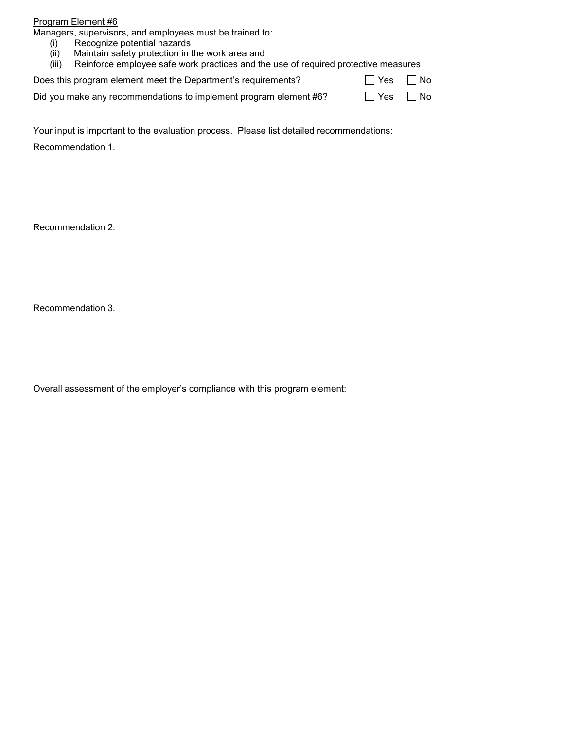Managers, supervisors, and employees must be trained to:

- (i) Recognize potential hazards<br>(ii) Maintain safety protection in t
- (ii) Maintain safety protection in the work area and<br>(iii) Reinforce employee safe work practices and the
- Reinforce employee safe work practices and the use of required protective measures

| Does this program element meet the Department's requirements? | $\Box$ Yes $\Box$ No |  |
|---------------------------------------------------------------|----------------------|--|
|---------------------------------------------------------------|----------------------|--|

|  | Did you make any recommendations to implement program element #6? | $\Box$ Yes $\Box$ No |  |
|--|-------------------------------------------------------------------|----------------------|--|
|--|-------------------------------------------------------------------|----------------------|--|

Your input is important to the evaluation process. Please list detailed recommendations:

Recommendation 1.

Recommendation 2.

Recommendation 3.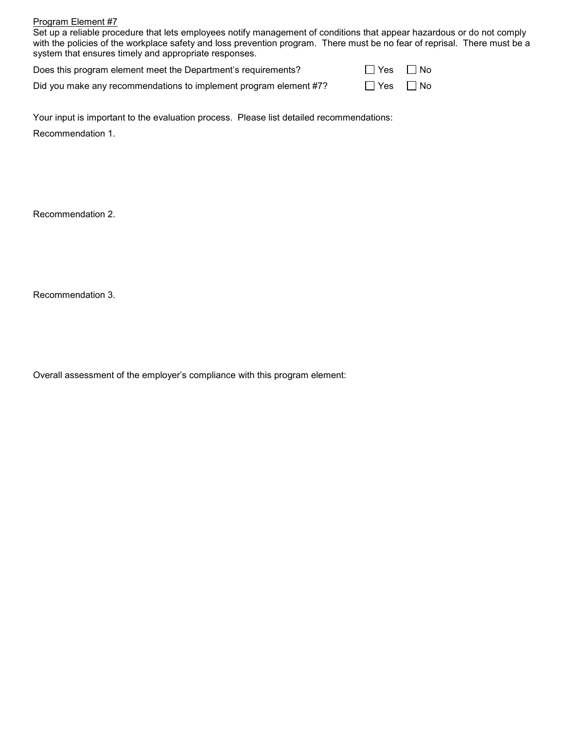Set up a reliable procedure that lets employees notify management of conditions that appear hazardous or do not comply with the policies of the workplace safety and loss prevention program. There must be no fear of reprisal. There must be a system that ensures timely and appropriate responses.

| Does this program element meet the Department's requirements?     | $\Box$ Yes           | $\Box$ No |
|-------------------------------------------------------------------|----------------------|-----------|
| Did you make any recommendations to implement program element #7? | $\Box$ Yes $\Box$ No |           |

Your input is important to the evaluation process. Please list detailed recommendations: Recommendation 1.

Recommendation 2.

Recommendation 3.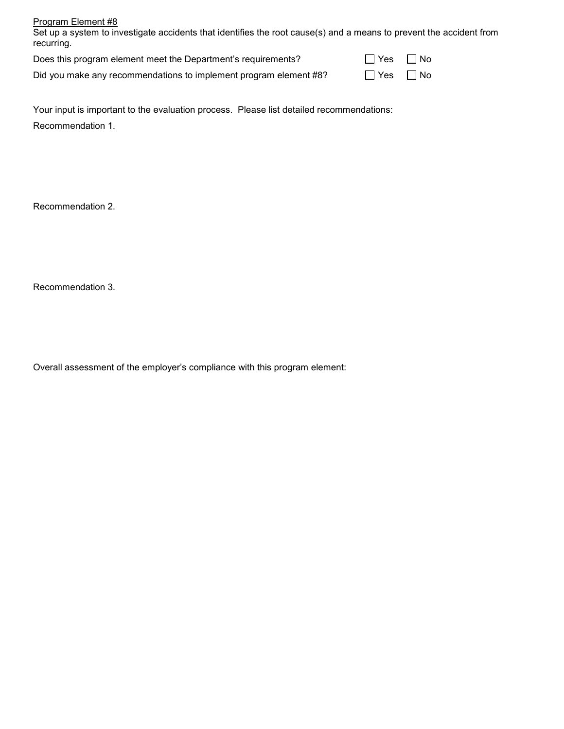| Program Element #8                                                                                                                |        |      |
|-----------------------------------------------------------------------------------------------------------------------------------|--------|------|
| Set up a system to investigate accidents that identifies the root cause(s) and a means to prevent the accident from<br>recurring. |        |      |
| Does this program element meet the Department's requirements?                                                                     | l lYes | ⊟ No |

Did you make any recommendations to implement program element #8?  $\Box$  Yes  $\Box$  No

| -- | IVU<br>Ξ |
|----|----------|
|    |          |
|    |          |

Your input is important to the evaluation process. Please list detailed recommendations: Recommendation 1.

Recommendation 2.

Recommendation 3.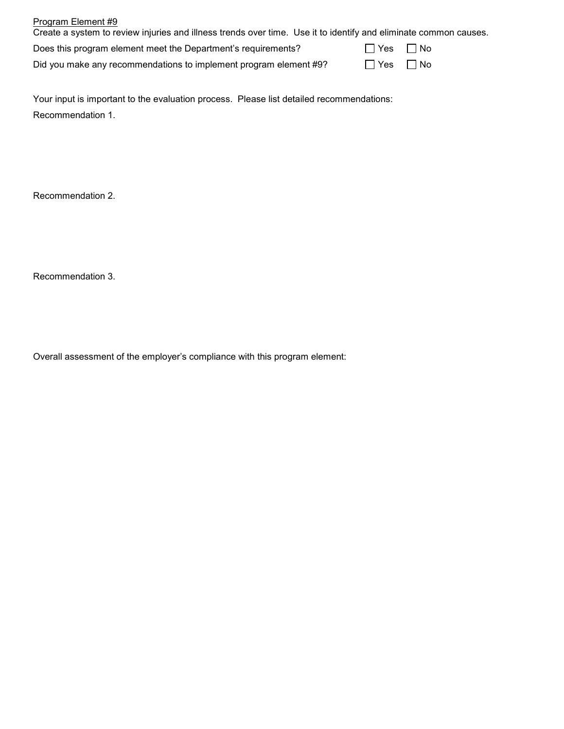| Program Element #9<br>Create a system to review injuries and illness trends over time. Use it to identify and eliminate common causes. |           |  |
|----------------------------------------------------------------------------------------------------------------------------------------|-----------|--|
| Does this program element meet the Department's requirements?                                                                          | Yes   No  |  |
| Did you make any recommendations to implement program element #9?                                                                      | No Res No |  |

Your input is important to the evaluation process. Please list detailed recommendations: Recommendation 1.

Recommendation 2.

Recommendation 3.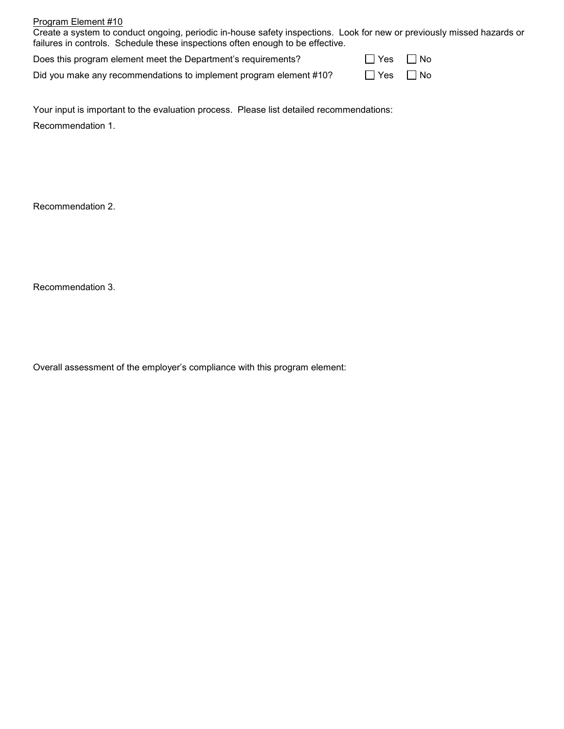| Program Element #10                                                                                                    |            |  |
|------------------------------------------------------------------------------------------------------------------------|------------|--|
| Create a system to conduct ongoing, periodic in-house safety inspections. Look for new or previously missed hazards or |            |  |
| failures in controls. Schedule these inspections often enough to be effective.                                         |            |  |
| Does this program element meet the Department's requirements?                                                          | □ Yes IINo |  |

Did you make any recommendations to implement program element #10?  $\Box$  Yes  $\Box$  No

| -- | IVU |
|----|-----|
|    |     |
|    |     |

Your input is important to the evaluation process. Please list detailed recommendations: Recommendation 1.

Recommendation 2.

Recommendation 3.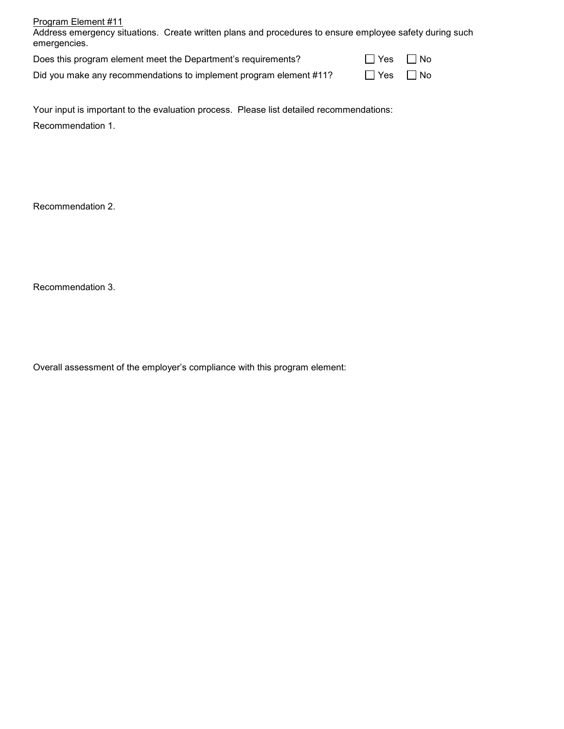| Program Element #11<br>Address emergency situations. Create written plans and procedures to ensure employee safety during such<br>emergencies. |            |      |
|------------------------------------------------------------------------------------------------------------------------------------------------|------------|------|
| Does this program element meet the Department's requirements?                                                                                  | $\Box$ Yes | □ No |
| Did you make any recommendations to implement program element #11?                                                                             | ∣ l Yes    | l No |

Your input is important to the evaluation process. Please list detailed recommendations: Recommendation 1.

Recommendation 2.

Recommendation 3.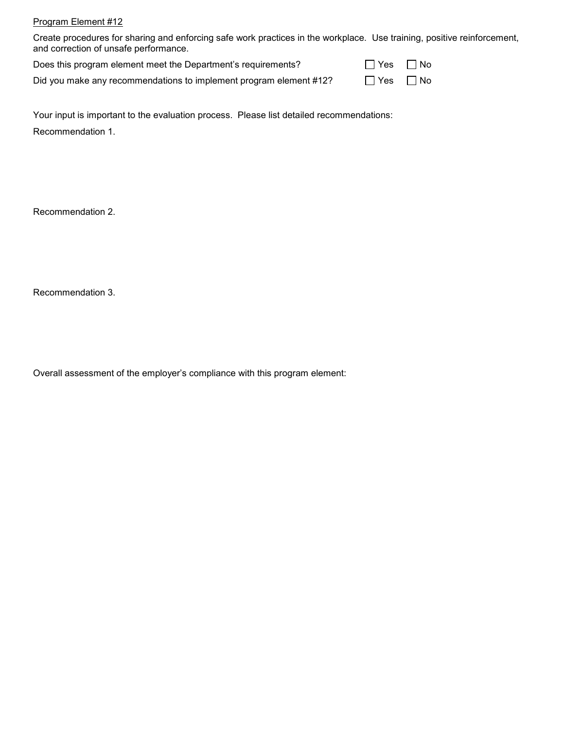Create procedures for sharing and enforcing safe work practices in the workplace. Use training, positive reinforcement, and correction of unsafe performance.

| Does this program element meet the Department's requirements?      | $\Box$ Yes $\Box$ No |  |
|--------------------------------------------------------------------|----------------------|--|
| Did you make any recommendations to implement program element #12? | $\Box$ Yes $\Box$ No |  |

Your input is important to the evaluation process. Please list detailed recommendations: Recommendation 1.

Recommendation 2.

Recommendation 3.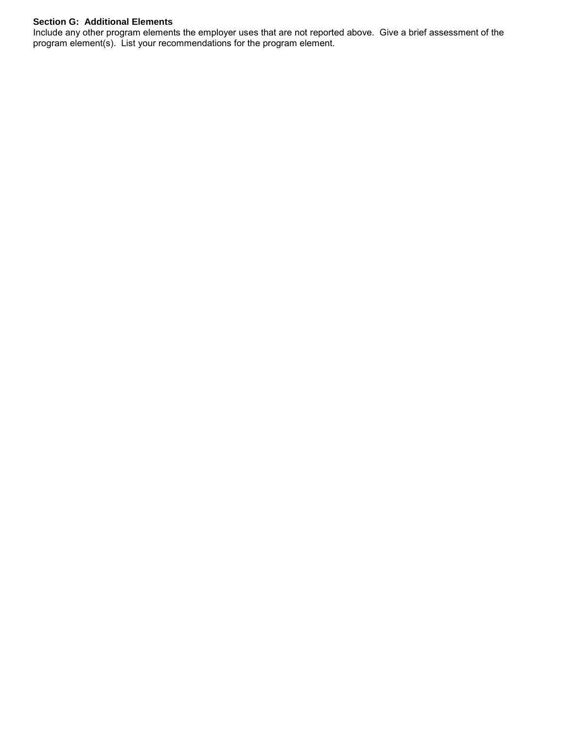## **Section G: Additional Elements**

Include any other program elements the employer uses that are not reported above. Give a brief assessment of the program element(s). List your recommendations for the program element.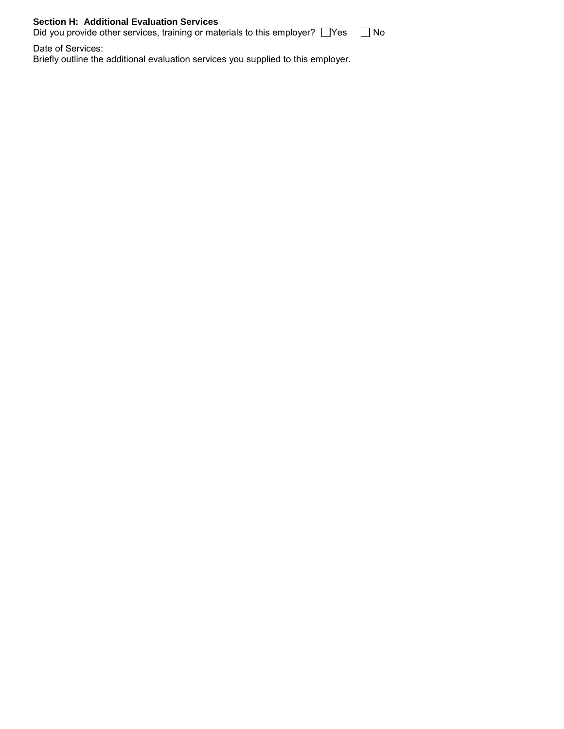## **Section H: Additional Evaluation Services**

Did you provide other services, training or materials to this employer?  $\Box$  Yes  $\Box$  No

Date of Services: Briefly outline the additional evaluation services you supplied to this employer.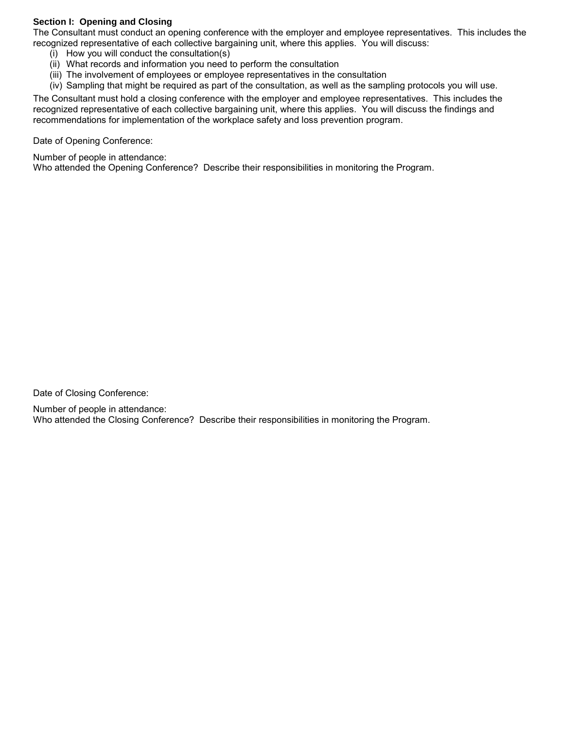### **Section I: Opening and Closing**

The Consultant must conduct an opening conference with the employer and employee representatives. This includes the recognized representative of each collective bargaining unit, where this applies. You will discuss:

- (i) How you will conduct the consultation(s)
- (ii) What records and information you need to perform the consultation
- (iii) The involvement of employees or employee representatives in the consultation
- (iv) Sampling that might be required as part of the consultation, as well as the sampling protocols you will use.

The Consultant must hold a closing conference with the employer and employee representatives. This includes the recognized representative of each collective bargaining unit, where this applies. You will discuss the findings and recommendations for implementation of the workplace safety and loss prevention program.

Date of Opening Conference:

Number of people in attendance:

Who attended the Opening Conference? Describe their responsibilities in monitoring the Program.

Date of Closing Conference:

Number of people in attendance: Who attended the Closing Conference? Describe their responsibilities in monitoring the Program.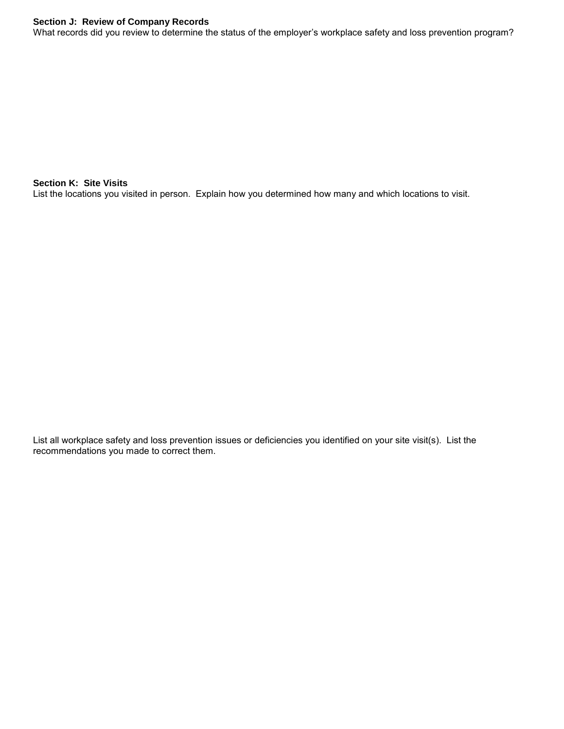#### **Section J: Review of Company Records**

What records did you review to determine the status of the employer's workplace safety and loss prevention program?

**Section K: Site Visits** List the locations you visited in person. Explain how you determined how many and which locations to visit.

List all workplace safety and loss prevention issues or deficiencies you identified on your site visit(s). List the recommendations you made to correct them.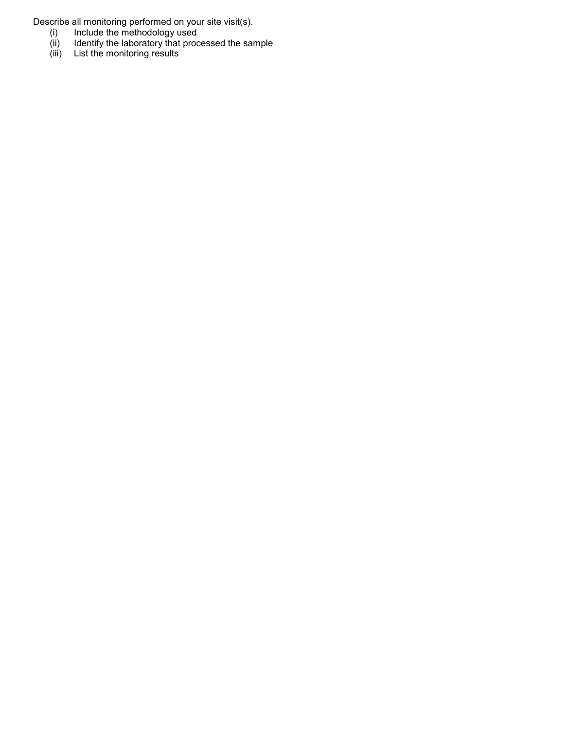Describe all monitoring performed on your site visit(s).

- (i) Include the methodology used
- (ii) Identify the laboratory that processed the sample
- (iii) List the monitoring results